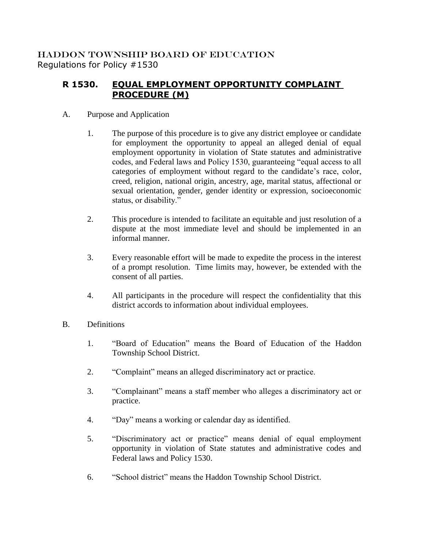## HADDON TOWNSHIP BOARD OF EDUCATION Regulations for Policy #1530

## **R 1530. EQUAL EMPLOYMENT OPPORTUNITY COMPLAINT PROCEDURE (M)**

- A. Purpose and Application
	- 1. The purpose of this procedure is to give any district employee or candidate for employment the opportunity to appeal an alleged denial of equal employment opportunity in violation of State statutes and administrative codes, and Federal laws and Policy 1530, guaranteeing "equal access to all categories of employment without regard to the candidate's race, color, creed, religion, national origin, ancestry, age, marital status, affectional or sexual orientation, gender, gender identity or expression, socioeconomic status, or disability."
	- 2. This procedure is intended to facilitate an equitable and just resolution of a dispute at the most immediate level and should be implemented in an informal manner.
	- 3. Every reasonable effort will be made to expedite the process in the interest of a prompt resolution. Time limits may, however, be extended with the consent of all parties.
	- 4. All participants in the procedure will respect the confidentiality that this district accords to information about individual employees.
- B. Definitions
	- 1. "Board of Education" means the Board of Education of the Haddon Township School District.
	- 2. "Complaint" means an alleged discriminatory act or practice.
	- 3. "Complainant" means a staff member who alleges a discriminatory act or practice.
	- 4. "Day" means a working or calendar day as identified.
	- 5. "Discriminatory act or practice" means denial of equal employment opportunity in violation of State statutes and administrative codes and Federal laws and Policy 1530.
	- 6. "School district" means the Haddon Township School District.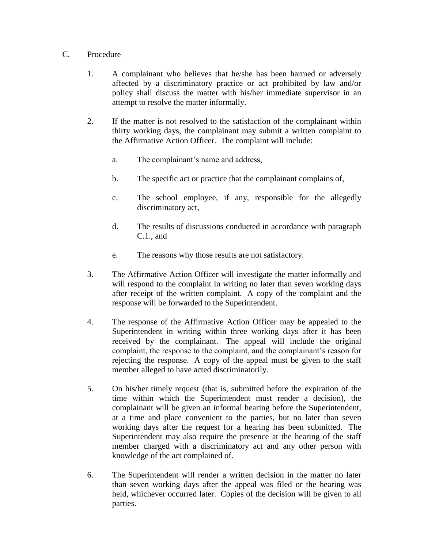## C. Procedure

- 1. A complainant who believes that he/she has been harmed or adversely affected by a discriminatory practice or act prohibited by law and/or policy shall discuss the matter with his/her immediate supervisor in an attempt to resolve the matter informally.
- 2. If the matter is not resolved to the satisfaction of the complainant within thirty working days, the complainant may submit a written complaint to the Affirmative Action Officer. The complaint will include:
	- a. The complainant's name and address,
	- b. The specific act or practice that the complainant complains of,
	- c. The school employee, if any, responsible for the allegedly discriminatory act,
	- d. The results of discussions conducted in accordance with paragraph C.1., and
	- e. The reasons why those results are not satisfactory.
- 3. The Affirmative Action Officer will investigate the matter informally and will respond to the complaint in writing no later than seven working days after receipt of the written complaint. A copy of the complaint and the response will be forwarded to the Superintendent.
- 4. The response of the Affirmative Action Officer may be appealed to the Superintendent in writing within three working days after it has been received by the complainant. The appeal will include the original complaint, the response to the complaint, and the complainant's reason for rejecting the response. A copy of the appeal must be given to the staff member alleged to have acted discriminatorily.
- 5. On his/her timely request (that is, submitted before the expiration of the time within which the Superintendent must render a decision), the complainant will be given an informal hearing before the Superintendent, at a time and place convenient to the parties, but no later than seven working days after the request for a hearing has been submitted. The Superintendent may also require the presence at the hearing of the staff member charged with a discriminatory act and any other person with knowledge of the act complained of.
- 6. The Superintendent will render a written decision in the matter no later than seven working days after the appeal was filed or the hearing was held, whichever occurred later. Copies of the decision will be given to all parties.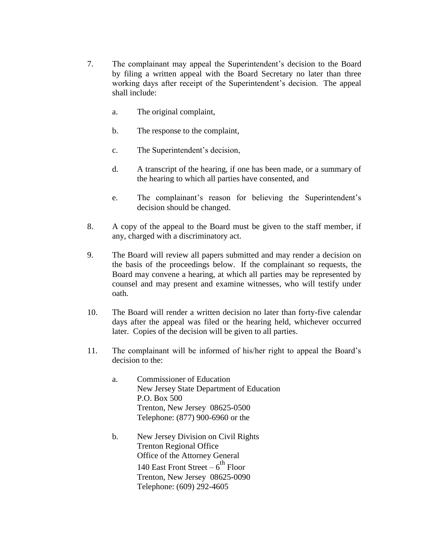- 7. The complainant may appeal the Superintendent's decision to the Board by filing a written appeal with the Board Secretary no later than three working days after receipt of the Superintendent's decision. The appeal shall include:
	- a. The original complaint,
	- b. The response to the complaint,
	- c. The Superintendent's decision,
	- d. A transcript of the hearing, if one has been made, or a summary of the hearing to which all parties have consented, and
	- e. The complainant's reason for believing the Superintendent's decision should be changed.
- 8. A copy of the appeal to the Board must be given to the staff member, if any, charged with a discriminatory act.
- 9. The Board will review all papers submitted and may render a decision on the basis of the proceedings below. If the complainant so requests, the Board may convene a hearing, at which all parties may be represented by counsel and may present and examine witnesses, who will testify under oath.
- 10. The Board will render a written decision no later than forty-five calendar days after the appeal was filed or the hearing held, whichever occurred later. Copies of the decision will be given to all parties.
- 11. The complainant will be informed of his/her right to appeal the Board's decision to the:
	- a. Commissioner of Education New Jersey State Department of Education P.O. Box 500 Trenton, New Jersey 08625-0500 Telephone: (877) 900-6960 or the
	- b. New Jersey Division on Civil Rights Trenton Regional Office Office of the Attorney General 140 East Front Street  $-6^{th}$  Floor Trenton, New Jersey 08625-0090 Telephone: (609) 292-4605